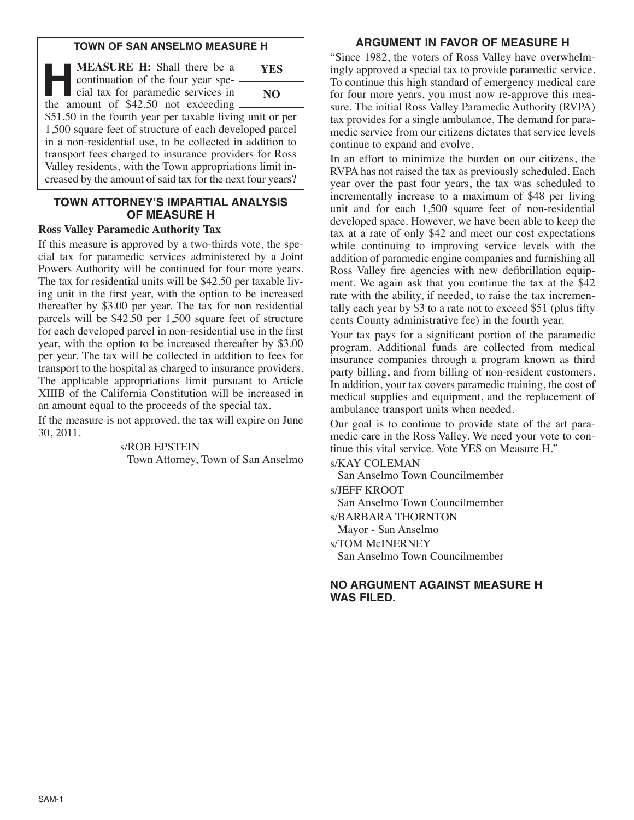#### **TOWN OF SAN ANSELMO MEASURE H**

**HEASURE H:** Shall there be a<br>continuation of the four year spe-<br>cial tax for paramedic services in<br>the amount of \$42.50 not exceeding continuation of the four year spethe amount of  $\frac{$42.50}{$\mu$}$  not exceeding



\$51.50 in the fourth year per taxable living unit or per 1,500 square feet of structure of each developed parcel in a non-residential use, to be collected in addition to transport fees charged to insurance providers for Ross Valley residents, with the Town appropriations limit increased by the amount of said tax for the next four years?

# **TOWN ATTORNEY'S IMPARTIAL ANALYSIS OF MEASURE H**

# **Ross Valley Paramedic Authority Tax**

If this measure is approved by a two-thirds vote, the special tax for paramedic services administered by a Joint Powers Authority will be continued for four more years. The tax for residential units will be \$42.50 per taxable living unit in the first year, with the option to be increased thereafter by \$3.00 per year. The tax for non residential parcels will be \$42.50 per 1,500 square feet of structure for each developed parcel in non-residential use in the first year, with the option to be increased thereafter by \$3.00 per year. The tax will be collected in addition to fees for transport to the hospital as charged to insurance providers. The applicable appropriations limit pursuant to Article XIIIB of the California Constitution will be increased in an amount equal to the proceeds of the special tax.

If the measure is not approved, the tax will expire on June 30, 2011.

# s/ROB EPSTEIN

Town Attorney, Town of San Anselmo

# **ARGUMENT IN FAVOR OF MEASURE H**

"Since 1982, the voters of Ross Valley have overwhelmingly approved a special tax to provide paramedic service. To continue this high standard of emergency medical care for four more years, you must now re-approve this measure. The initial Ross Valley Paramedic Authority (RVPA) tax provides for a single ambulance. The demand for paramedic service from our citizens dictates that service levels continue to expand and evolve.

In an effort to minimize the burden on our citizens, the RVPA has not raised the tax as previously scheduled. Each year over the past four years, the tax was scheduled to incrementally increase to a maximum of \$48 per living unit and for each 1,500 square feet of non-residential developed space. However, we have been able to keep the tax at a rate of only \$42 and meet our cost expectations while continuing to improving service levels with the addition of paramedic engine companies and furnishing all Ross Valley fire agencies with new defibrillation equipment. We again ask that you continue the tax at the \$42 rate with the ability, if needed, to raise the tax incrementally each year by  $\dot{S}$  to a rate not to exceed  $\$$ 51 (plus fifty cents County administrative fee) in the fourth year.

Your tax pays for a significant portion of the paramedic program. Additional funds are collected from medical insurance companies through a program known as third party billing, and from billing of non-resident customers. In addition, your tax covers paramedic training, the cost of medical supplies and equipment, and the replacement of ambulance transport units when needed.

Our goal is to continue to provide state of the art paramedic care in the Ross Valley. We need your vote to continue this vital service. Vote YES on Measure H."

# s/KAY COLEMAN

San Anselmo Town Councilmember

s/JEFF KROOT

San Anselmo Town Councilmember

s/BARBARA THORNTON

Mayor - San Anselmo

s/TOM McINERNEY

San Anselmo Town Councilmember

## **NO ARGUMENT AGAINST MEASURE H WAS FILED.**